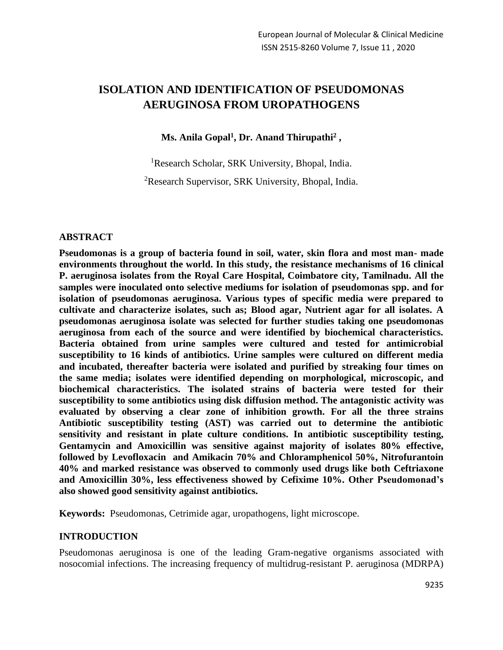# **ISOLATION AND IDENTIFICATION OF PSEUDOMONAS AERUGINOSA FROM UROPATHOGENS**

**Ms. Anila Gopal<sup>1</sup> , Dr. Anand Thirupathi<sup>2</sup> ,** 

<sup>1</sup>Research Scholar, SRK University, Bhopal, India.

<sup>2</sup>Research Supervisor, SRK University, Bhopal, India.

#### **ABSTRACT**

**Pseudomonas is a group of bacteria found in soil, water, skin flora and most man- made environments throughout the world. In this study, the resistance mechanisms of 16 clinical P. aeruginosa isolates from the Royal Care Hospital, Coimbatore city, Tamilnadu. All the samples were inoculated onto selective mediums for isolation of pseudomonas spp. and for isolation of pseudomonas aeruginosa. Various types of specific media were prepared to cultivate and characterize isolates, such as; Blood agar, Nutrient agar for all isolates. A pseudomonas aeruginosa isolate was selected for further studies taking one pseudomonas aeruginosa from each of the source and were identified by biochemical characteristics. Bacteria obtained from urine samples were cultured and tested for antimicrobial susceptibility to 16 kinds of antibiotics. Urine samples were cultured on different media and incubated, thereafter bacteria were isolated and purified by streaking four times on the same media; isolates were identified depending on morphological, microscopic, and biochemical characteristics. The isolated strains of bacteria were tested for their susceptibility to some antibiotics using disk diffusion method. The antagonistic activity was evaluated by observing a clear zone of inhibition growth. For all the three strains Antibiotic susceptibility testing (AST) was carried out to determine the antibiotic sensitivity and resistant in plate culture conditions. In antibiotic susceptibility testing, Gentamycin and Amoxicillin was sensitive against majority of isolates 80% effective, followed by Levofloxacin and Amikacin 70% and Chloramphenicol 50%, Nitrofurantoin 40% and marked resistance was observed to commonly used drugs like both Ceftriaxone and Amoxicillin 30%, less effectiveness showed by Cefixime 10%. Other Pseudomonad's also showed good sensitivity against antibiotics.**

**Keywords:** Pseudomonas, Cetrimide agar, uropathogens, light microscope.

#### **INTRODUCTION**

Pseudomonas aeruginosa is one of the leading Gram-negative organisms associated with nosocomial infections. The increasing frequency of multidrug-resistant P. aeruginosa (MDRPA)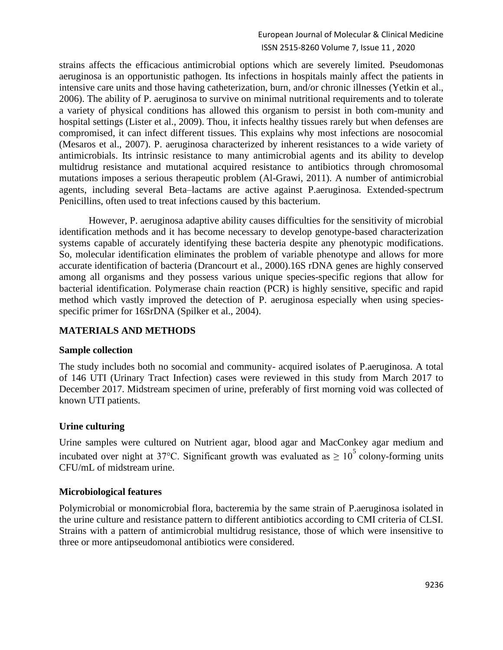strains affects the efficacious antimicrobial options which are severely limited. Pseudomonas aeruginosa is an opportunistic pathogen. Its infections in hospitals mainly affect the patients in intensive care units and those having catheterization, burn, and/or chronic illnesses (Yetkin et al., 2006). The ability of P. aeruginosa to survive on minimal nutritional requirements and to tolerate a variety of physical conditions has allowed this organism to persist in both com-munity and hospital settings (Lister et al., 2009). Thou, it infects healthy tissues rarely but when defenses are compromised, it can infect different tissues. This explains why most infections are nosocomial (Mesaros et al., 2007). P. aeruginosa characterized by inherent resistances to a wide variety of antimicrobials. Its intrinsic resistance to many antimicrobial agents and its ability to develop multidrug resistance and mutational acquired resistance to antibiotics through chromosomal mutations imposes a serious therapeutic problem (Al-Grawi, 2011). A number of antimicrobial agents, including several Beta–lactams are active against P.aeruginosa. Extended-spectrum Penicillins, often used to treat infections caused by this bacterium.

However, P. aeruginosa adaptive ability causes difficulties for the sensitivity of microbial identification methods and it has become necessary to develop genotype-based characterization systems capable of accurately identifying these bacteria despite any phenotypic modifications. So, molecular identification eliminates the problem of variable phenotype and allows for more accurate identification of bacteria (Drancourt et al., 2000).16S rDNA genes are highly conserved among all organisms and they possess various unique species-specific regions that allow for bacterial identification. Polymerase chain reaction (PCR) is highly sensitive, specific and rapid method which vastly improved the detection of P. aeruginosa especially when using speciesspecific primer for 16SrDNA (Spilker et al., 2004).

### **MATERIALS AND METHODS**

### **Sample collection**

The study includes both no socomial and community- acquired isolates of P.aeruginosa. A total of 146 UTI (Urinary Tract Infection) cases were reviewed in this study from March 2017 to December 2017. Midstream specimen of urine, preferably of first morning void was collected of known UTI patients.

### **Urine culturing**

Urine samples were cultured on Nutrient agar, blood agar and MacConkey agar medium and incubated over night at 37°C. Significant growth was evaluated as  $\geq 10^5$  colony-forming units CFU/mL of midstream urine.

### **Microbiological features**

Polymicrobial or monomicrobial flora, bacteremia by the same strain of P.aeruginosa isolated in the urine culture and resistance pattern to different antibiotics according to CMI criteria of CLSI. Strains with a pattern of antimicrobial multidrug resistance, those of which were insensitive to three or more antipseudomonal antibiotics were considered.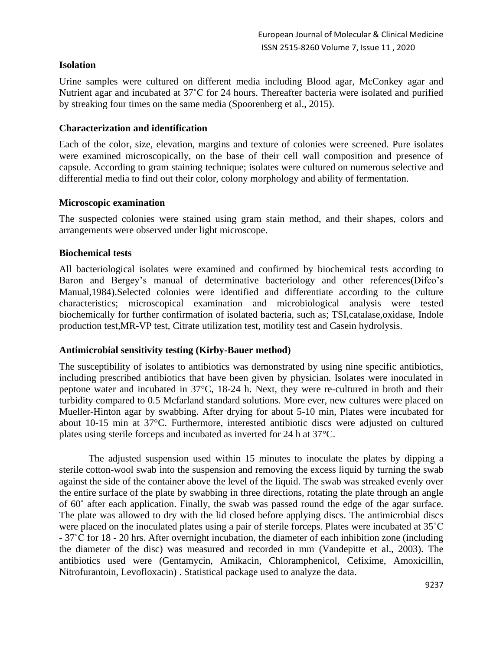### **Isolation**

Urine samples were cultured on different media including Blood agar, McConkey agar and Nutrient agar and incubated at 37˚C for 24 hours. Thereafter bacteria were isolated and purified by streaking four times on the same media (Spoorenberg et al., 2015).

### **Characterization and identification**

Each of the color, size, elevation, margins and texture of colonies were screened. Pure isolates were examined microscopically, on the base of their cell wall composition and presence of capsule. According to gram staining technique; isolates were cultured on numerous selective and differential media to find out their color, colony morphology and ability of fermentation.

### **Microscopic examination**

The suspected colonies were stained using gram stain method, and their shapes, colors and arrangements were observed under light microscope.

### **Biochemical tests**

All bacteriological isolates were examined and confirmed by biochemical tests according to Baron and Bergey's manual of determinative bacteriology and other references(Difco's Manual,1984).Selected colonies were identified and differentiate according to the culture characteristics; microscopical examination and microbiological analysis were tested biochemically for further confirmation of isolated bacteria, such as; TSI,catalase,oxidase, Indole production test,MR-VP test, Citrate utilization test, motility test and Casein hydrolysis.

### **Antimicrobial sensitivity testing (Kirby-Bauer method)**

The susceptibility of isolates to antibiotics was demonstrated by using nine specific antibiotics, including prescribed antibiotics that have been given by physician. Isolates were inoculated in peptone water and incubated in 37°C, 18-24 h. Next, they were re-cultured in broth and their turbidity compared to 0.5 Mcfarland standard solutions. More ever, new cultures were placed on Mueller-Hinton agar by swabbing. After drying for about 5-10 min, Plates were incubated for about 10-15 min at 37°C. Furthermore, interested antibiotic discs were adjusted on cultured plates using sterile forceps and incubated as inverted for 24 h at 37°C.

The adjusted suspension used within 15 minutes to inoculate the plates by dipping a sterile cotton-wool swab into the suspension and removing the excess liquid by turning the swab against the side of the container above the level of the liquid. The swab was streaked evenly over the entire surface of the plate by swabbing in three directions, rotating the plate through an angle of 60˚ after each application. Finally, the swab was passed round the edge of the agar surface. The plate was allowed to dry with the lid closed before applying discs. The antimicrobial discs were placed on the inoculated plates using a pair of sterile forceps. Plates were incubated at 35<sup>°</sup>C - 37˚C for 18 - 20 hrs. After overnight incubation, the diameter of each inhibition zone (including the diameter of the disc) was measured and recorded in mm (Vandepitte et al., 2003). The antibiotics used were (Gentamycin, Amikacin, Chloramphenicol, Cefixime, Amoxicillin, Nitrofurantoin, Levofloxacin) . Statistical package used to analyze the data.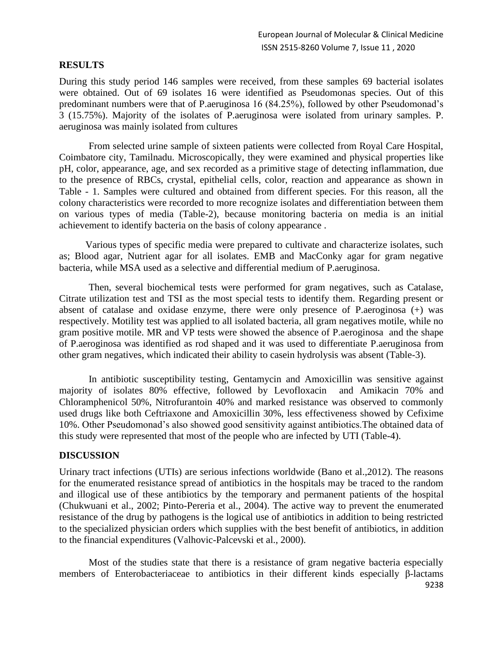#### **RESULTS**

During this study period 146 samples were received, from these samples 69 bacterial isolates were obtained. Out of 69 isolates 16 were identified as Pseudomonas species. Out of this predominant numbers were that of P.aeruginosa 16 (84.25%), followed by other Pseudomonad's 3 (15.75%). Majority of the isolates of P.aeruginosa were isolated from urinary samples. P. aeruginosa was mainly isolated from cultures

From selected urine sample of sixteen patients were collected from Royal Care Hospital, Coimbatore city, Tamilnadu. Microscopically, they were examined and physical properties like pH, color, appearance, age, and sex recorded as a primitive stage of detecting inflammation, due to the presence of RBCs, crystal, epithelial cells, color, reaction and appearance as shown in Table - 1. Samples were cultured and obtained from different species. For this reason, all the colony characteristics were recorded to more recognize isolates and differentiation between them on various types of media (Table-2), because monitoring bacteria on media is an initial achievement to identify bacteria on the basis of colony appearance .

 Various types of specific media were prepared to cultivate and characterize isolates, such as; Blood agar, Nutrient agar for all isolates. EMB and MacConky agar for gram negative bacteria, while MSA used as a selective and differential medium of P.aeruginosa.

Then, several biochemical tests were performed for gram negatives, such as Catalase, Citrate utilization test and TSI as the most special tests to identify them. Regarding present or absent of catalase and oxidase enzyme, there were only presence of P.aeroginosa (+) was respectively. Motility test was applied to all isolated bacteria, all gram negatives motile, while no gram positive motile. MR and VP tests were showed the absence of P.aeroginosa and the shape of P.aeroginosa was identified as rod shaped and it was used to differentiate P.aeruginosa from other gram negatives, which indicated their ability to casein hydrolysis was absent (Table-3).

In antibiotic susceptibility testing, Gentamycin and Amoxicillin was sensitive against majority of isolates 80% effective, followed by Levofloxacin and Amikacin 70% and Chloramphenicol 50%, Nitrofurantoin 40% and marked resistance was observed to commonly used drugs like both Ceftriaxone and Amoxicillin 30%, less effectiveness showed by Cefixime 10%. Other Pseudomonad's also showed good sensitivity against antibiotics.The obtained data of this study were represented that most of the people who are infected by UTI (Table-4).

### **DISCUSSION**

Urinary tract infections (UTIs) are serious infections worldwide (Bano et al.,2012). The reasons for the enumerated resistance spread of antibiotics in the hospitals may be traced to the random and illogical use of these antibiotics by the temporary and permanent patients of the hospital (Chukwuani et al., 2002; Pinto-Pereria et al., 2004). The active way to prevent the enumerated resistance of the drug by pathogens is the logical use of antibiotics in addition to being restricted to the specialized physician orders which supplies with the best benefit of antibiotics, in addition to the financial expenditures (Valhovic-Palcevski et al., 2000).

9238 Most of the studies state that there is a resistance of gram negative bacteria especially members of Enterobacteriaceae to antibiotics in their different kinds especially β-lactams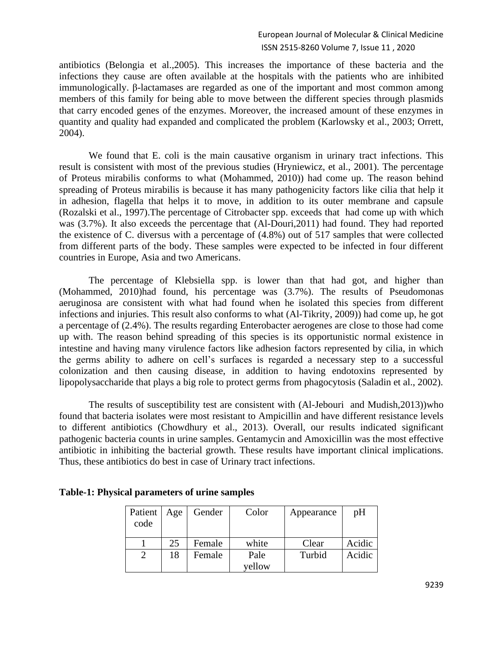antibiotics (Belongia et al.,2005). This increases the importance of these bacteria and the infections they cause are often available at the hospitals with the patients who are inhibited immunologically. β-lactamases are regarded as one of the important and most common among members of this family for being able to move between the different species through plasmids that carry encoded genes of the enzymes. Moreover, the increased amount of these enzymes in quantity and quality had expanded and complicated the problem (Karlowsky et al., 2003; Orrett, 2004).

We found that E. coli is the main causative organism in urinary tract infections. This result is consistent with most of the previous studies (Hryniewicz, et al., 2001). The percentage of Proteus mirabilis conforms to what (Mohammed, 2010)) had come up. The reason behind spreading of Proteus mirabilis is because it has many pathogenicity factors like cilia that help it in adhesion, flagella that helps it to move, in addition to its outer membrane and capsule (Rozalski et al., 1997).The percentage of Citrobacter spp. exceeds that had come up with which was (3.7%). It also exceeds the percentage that (Al-Douri,2011) had found. They had reported the existence of C. diversus with a percentage of (4.8%) out of 517 samples that were collected from different parts of the body. These samples were expected to be infected in four different countries in Europe, Asia and two Americans.

The percentage of Klebsiella spp. is lower than that had got, and higher than (Mohammed, 2010)had found, his percentage was (3.7%). The results of Pseudomonas aeruginosa are consistent with what had found when he isolated this species from different infections and injuries. This result also conforms to what (Al-Tikrity, 2009)) had come up, he got a percentage of (2.4%). The results regarding Enterobacter aerogenes are close to those had come up with. The reason behind spreading of this species is its opportunistic normal existence in intestine and having many virulence factors like adhesion factors represented by cilia, in which the germs ability to adhere on cell's surfaces is regarded a necessary step to a successful colonization and then causing disease, in addition to having endotoxins represented by lipopolysaccharide that plays a big role to protect germs from phagocytosis (Saladin et al., 2002).

The results of susceptibility test are consistent with (Al-Jebouri and Mudish,2013))who found that bacteria isolates were most resistant to Ampicillin and have different resistance levels to different antibiotics (Chowdhury et al., 2013). Overall, our results indicated significant pathogenic bacteria counts in urine samples. Gentamycin and Amoxicillin was the most effective antibiotic in inhibiting the bacterial growth. These results have important clinical implications. Thus, these antibiotics do best in case of Urinary tract infections.

| Patient<br>code | Age | Gender | Color          | Appearance | pH     |
|-----------------|-----|--------|----------------|------------|--------|
|                 | 25  | Female | white          | Clear      | Acidic |
|                 | 18  | Female | Pale<br>yellow | Turbid     | Acidic |

#### **Table-1: Physical parameters of urine samples**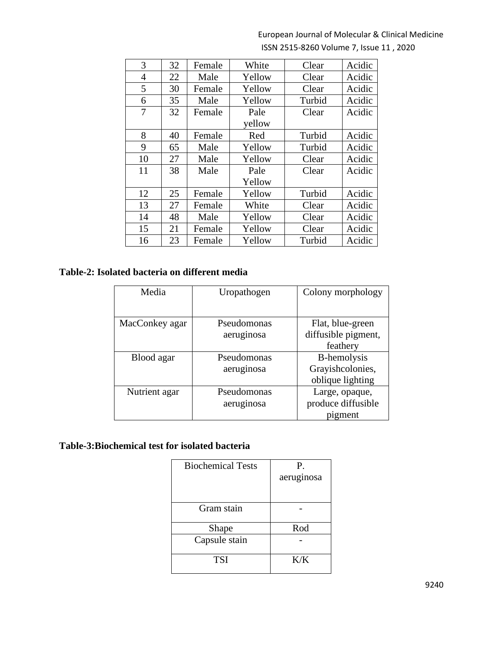| 3  | 32 | Female | White  | Clear  | Acidic |
|----|----|--------|--------|--------|--------|
| 4  | 22 | Male   | Yellow | Clear  | Acidic |
| 5  | 30 | Female | Yellow | Clear  | Acidic |
| 6  | 35 | Male   | Yellow | Turbid | Acidic |
| 7  | 32 | Female | Pale   | Clear  | Acidic |
|    |    |        | yellow |        |        |
| 8  | 40 | Female | Red    | Turbid | Acidic |
| 9  | 65 | Male   | Yellow | Turbid | Acidic |
| 10 | 27 | Male   | Yellow | Clear  | Acidic |
| 11 | 38 | Male   | Pale   | Clear  | Acidic |
|    |    |        | Yellow |        |        |
| 12 | 25 | Female | Yellow | Turbid | Acidic |
| 13 | 27 | Female | White  | Clear  | Acidic |
| 14 | 48 | Male   | Yellow | Clear  | Acidic |
| 15 | 21 | Female | Yellow | Clear  | Acidic |
| 16 | 23 | Female | Yellow | Turbid | Acidic |

# **Table-2: Isolated bacteria on different media**

| Media          | Uropathogen | Colony morphology   |
|----------------|-------------|---------------------|
|                |             |                     |
| MacConkey agar | Pseudomonas | Flat, blue-green    |
|                | aeruginosa  | diffusible pigment, |
|                |             | feathery            |
| Blood agar     | Pseudomonas | B-hemolysis         |
|                | aeruginosa  | Grayishcolonies,    |
|                |             | oblique lighting    |
| Nutrient agar  | Pseudomonas | Large, opaque,      |
|                | aeruginosa  | produce diffusible  |
|                |             | pigment             |

# **Table-3:Biochemical test for isolated bacteria**

| <b>Biochemical Tests</b> | Р.         |  |
|--------------------------|------------|--|
|                          | aeruginosa |  |
|                          |            |  |
| Gram stain               |            |  |
| Shape                    | Rod        |  |
| Capsule stain            |            |  |
| <b>TSI</b>               | K/K        |  |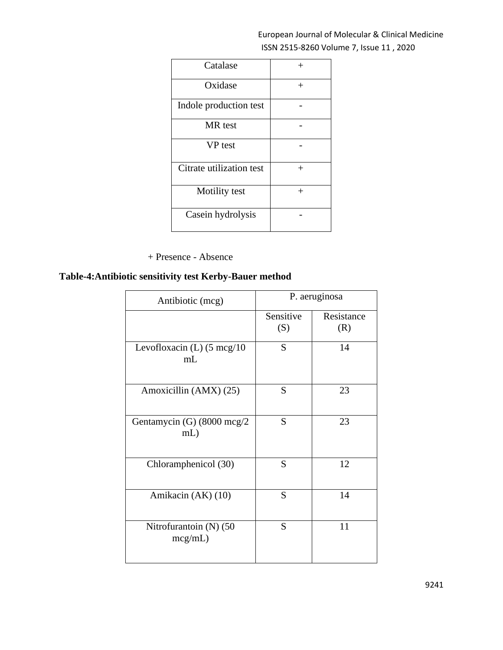| Catalase                 | $^{+}$ |
|--------------------------|--------|
| Oxidase                  | $^{+}$ |
| Indole production test   |        |
| MR test                  |        |
| <b>VP</b> test           |        |
| Citrate utilization test | $^{+}$ |
| Motility test            | $^{+}$ |
| Casein hydrolysis        |        |

+ Presence - Absence

## **Table-4:Antibiotic sensitivity test Kerby-Bauer method**

| Antibiotic (mcg)                            | P. aeruginosa    |                   |  |
|---------------------------------------------|------------------|-------------------|--|
|                                             | Sensitive<br>(S) | Resistance<br>(R) |  |
| Levofloxacin (L) $(5 \text{ mcg}/10)$<br>mL | S                | 14                |  |
| Amoxicillin (AMX) (25)                      | S                | 23                |  |
| Gentamycin (G) (8000 mcg/2<br>$mL$ )        | S                | 23                |  |
| Chloramphenicol (30)                        | S                | 12                |  |
| Amikacin (AK) (10)                          | S                | 14                |  |
| Nitrofurantoin (N) (50<br>mcg/mL)           | S                | 11                |  |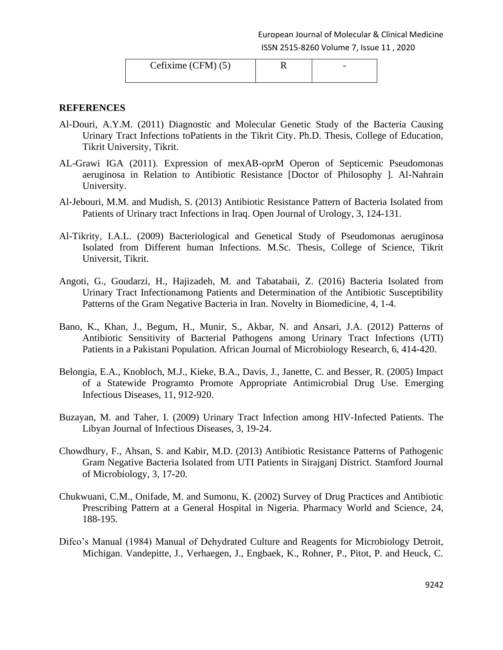| Cefixime $(CFM)(5)$ |  |
|---------------------|--|
|                     |  |

#### **REFERENCES**

- Al-Douri, A.Y.M. (2011) Diagnostic and Molecular Genetic Study of the Bacteria Causing Urinary Tract Infections toPatients in the Tikrit City. Ph.D. Thesis, College of Education, Tikrit University, Tikrit.
- AL-Grawi IGA (2011). Expression of mexAB-oprM Operon of Septicemic Pseudomonas aeruginosa in Relation to Antibiotic Resistance [Doctor of Philosophy ]. Al-Nahrain University.
- Al-Jebouri, M.M. and Mudish, S. (2013) Antibiotic Resistance Pattern of Bacteria Isolated from Patients of Urinary tract Infections in Iraq. Open Journal of Urology, 3, 124-131.
- Al-Tikrity, I.A.L. (2009) Bacteriological and Genetical Study of Pseudomonas aeruginosa Isolated from Different human Infections. M.Sc. Thesis, College of Science, Tikrit Universit, Tikrit.
- Angoti, G., Goudarzi, H., Hajizadeh, M. and Tabatabaii, Z. (2016) Bacteria Isolated from Urinary Tract Infectionamong Patients and Determination of the Antibiotic Susceptibility Patterns of the Gram Negative Bacteria in Iran. Novelty in Biomedicine, 4, 1-4.
- Bano, K., Khan, J., Begum, H., Munir, S., Akbar, N. and Ansari, J.A. (2012) Patterns of Antibiotic Sensitivity of Bacterial Pathogens among Urinary Tract Infections (UTI) Patients in a Pakistani Population. African Journal of Microbiology Research, 6, 414-420.
- Belongia, E.A., Knobloch, M.J., Kieke, B.A., Davis, J., Janette, C. and Besser, R. (2005) Impact of a Statewide Programto Promote Appropriate Antimicrobial Drug Use. Emerging Infectious Diseases, 11, 912-920.
- Buzayan, M. and Taher, I. (2009) Urinary Tract Infection among HIV-Infected Patients. The Libyan Journal of Infectious Diseases, 3, 19-24.
- Chowdhury, F., Ahsan, S. and Kabir, M.D. (2013) Antibiotic Resistance Patterns of Pathogenic Gram Negative Bacteria Isolated from UTI Patients in Sirajganj District. Stamford Journal of Microbiology, 3, 17-20.
- Chukwuani, C.M., Onifade, M. and Sumonu, K. (2002) Survey of Drug Practices and Antibiotic Prescribing Pattern at a General Hospital in Nigeria. Pharmacy World and Science, 24, 188-195.
- Difco's Manual (1984) Manual of Dehydrated Culture and Reagents for Microbiology Detroit, Michigan. Vandepitte, J., Verhaegen, J., Engbaek, K., Rohner, P., Pitot, P. and Heuck, C.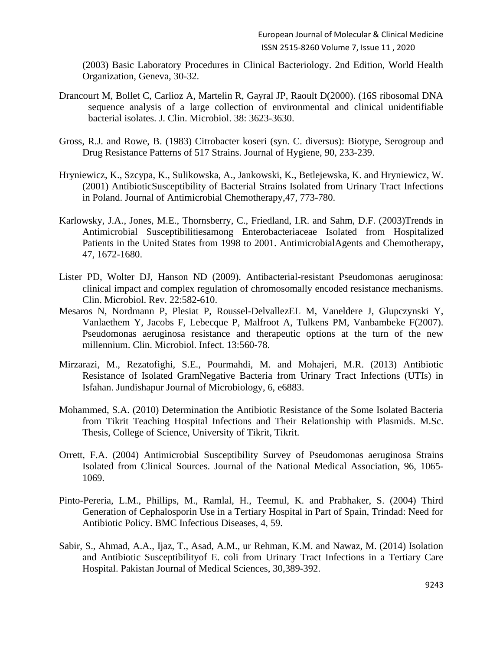(2003) Basic Laboratory Procedures in Clinical Bacteriology. 2nd Edition, World Health Organization, Geneva, 30-32.

- Drancourt M, Bollet C, Carlioz A, Martelin R, Gayral JP, Raoult D(2000). (16S ribosomal DNA sequence analysis of a large collection of environmental and clinical unidentifiable bacterial isolates. J. Clin. Microbiol. 38: 3623-3630.
- Gross, R.J. and Rowe, B. (1983) Citrobacter koseri (syn. C. diversus): Biotype, Serogroup and Drug Resistance Patterns of 517 Strains. Journal of Hygiene, 90, 233-239.
- Hryniewicz, K., Szcypa, K., Sulikowska, A., Jankowski, K., Betlejewska, K. and Hryniewicz, W. (2001) AntibioticSusceptibility of Bacterial Strains Isolated from Urinary Tract Infections in Poland. Journal of Antimicrobial Chemotherapy,47, 773-780.
- Karlowsky, J.A., Jones, M.E., Thornsberry, C., Friedland, I.R. and Sahm, D.F. (2003)Trends in Antimicrobial Susceptibilitiesamong Enterobacteriaceae Isolated from Hospitalized Patients in the United States from 1998 to 2001. AntimicrobialAgents and Chemotherapy, 47, 1672-1680.
- Lister PD, Wolter DJ, Hanson ND (2009). Antibacterial-resistant Pseudomonas aeruginosa: clinical impact and complex regulation of chromosomally encoded resistance mechanisms. Clin. Microbiol. Rev. 22:582-610.
- Mesaros N, Nordmann P, Plesiat P, Roussel-DelvallezEL M, Vaneldere J, Glupczynski Y, Vanlaethem Y, Jacobs F, Lebecque P, Malfroot A, Tulkens PM, Vanbambeke F(2007). Pseudomonas aeruginosa resistance and therapeutic options at the turn of the new millennium. Clin. Microbiol. Infect. 13:560-78.
- Mirzarazi, M., Rezatofighi, S.E., Pourmahdi, M. and Mohajeri, M.R. (2013) Antibiotic Resistance of Isolated GramNegative Bacteria from Urinary Tract Infections (UTIs) in Isfahan. Jundishapur Journal of Microbiology, 6, e6883.
- Mohammed, S.A. (2010) Determination the Antibiotic Resistance of the Some Isolated Bacteria from Tikrit Teaching Hospital Infections and Their Relationship with Plasmids. M.Sc. Thesis, College of Science, University of Tikrit, Tikrit.
- Orrett, F.A. (2004) Antimicrobial Susceptibility Survey of Pseudomonas aeruginosa Strains Isolated from Clinical Sources. Journal of the National Medical Association, 96, 1065- 1069.
- Pinto-Pereria, L.M., Phillips, M., Ramlal, H., Teemul, K. and Prabhaker, S. (2004) Third Generation of Cephalosporin Use in a Tertiary Hospital in Part of Spain, Trindad: Need for Antibiotic Policy. BMC Infectious Diseases, 4, 59.
- Sabir, S., Ahmad, A.A., Ijaz, T., Asad, A.M., ur Rehman, K.M. and Nawaz, M. (2014) Isolation and Antibiotic Susceptibilityof E. coli from Urinary Tract Infections in a Tertiary Care Hospital. Pakistan Journal of Medical Sciences, 30,389-392.